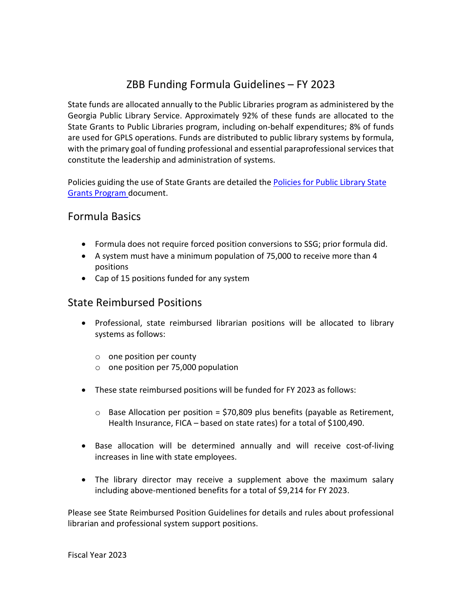# ZBB Funding Formula Guidelines – FY 2023

State funds are allocated annually to the Public Libraries program as administered by the Georgia Public Library Service. Approximately 92% of these funds are allocated to the State Grants to Public Libraries program, including on-behalf expenditures; 8% of funds are used for GPLS operations. Funds are distributed to public library systems by formula, with the primary goal of funding professional and essential paraprofessional services that constitute the leadership and administration of systems.

Policies guiding the use of State Grants are detailed the Policies for Public Library State [Grants Program](http://www.georgialibraries.org/lib/stategrants_accounting/policies-library-state-grants-program2015-05082015.pdf) document.

### Formula Basics

- Formula does not require forced position conversions to SSG; prior formula did.
- A system must have a minimum population of 75,000 to receive more than 4 positions
- Cap of 15 positions funded for any system

### State Reimbursed Positions

- Professional, state reimbursed librarian positions will be allocated to library systems as follows:
	- o one position per county
	- o one position per 75,000 population
- These state reimbursed positions will be funded for FY 2023 as follows:
	- $\circ$  Base Allocation per position = \$70,809 plus benefits (payable as Retirement, Health Insurance, FICA – based on state rates) for a total of \$100,490.
- Base allocation will be determined annually and will receive cost-of-living increases in line with state employees.
- The library director may receive a supplement above the maximum salary including above-mentioned benefits for a total of \$9,214 for FY 2023.

Please see State Reimbursed Position Guidelines for details and rules about professional librarian and professional system support positions.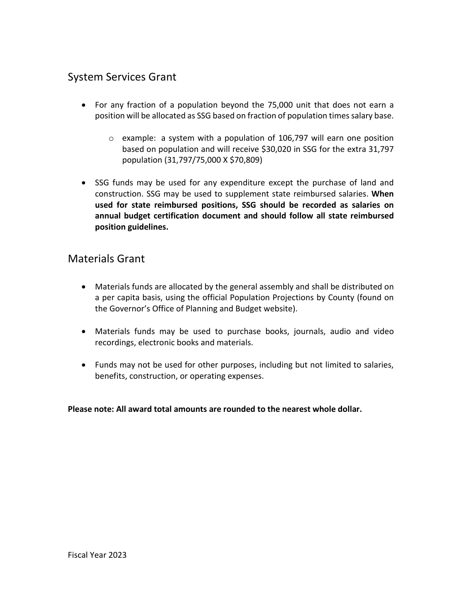### System Services Grant

- For any fraction of a population beyond the 75,000 unit that does not earn a position will be allocated as SSG based on fraction of population times salary base.
	- $\circ$  example: a system with a population of 106,797 will earn one position based on population and will receive \$30,020 in SSG for the extra 31,797 population (31,797/75,000 X \$70,809)
- SSG funds may be used for any expenditure except the purchase of land and construction. SSG may be used to supplement state reimbursed salaries. **When used for state reimbursed positions, SSG should be recorded as salaries on annual budget certification document and should follow all state reimbursed position guidelines.**

### Materials Grant

- Materials funds are allocated by the general assembly and shall be distributed on a per capita basis, using the official Population Projections by County (found on the Governor's Office of Planning and Budget website).
- Materials funds may be used to purchase books, journals, audio and video recordings, electronic books and materials.
- Funds may not be used for other purposes, including but not limited to salaries, benefits, construction, or operating expenses.

**Please note: All award total amounts are rounded to the nearest whole dollar.**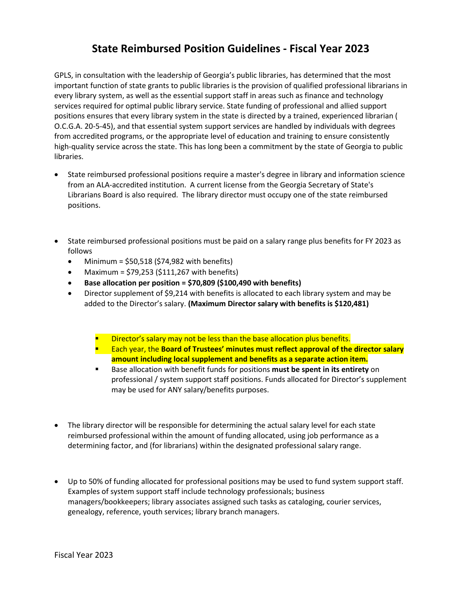## **State Reimbursed Position Guidelines - Fiscal Year 2023**

GPLS, in consultation with the leadership of Georgia's public libraries, has determined that the most important function of state grants to public libraries is the provision of qualified professional librarians in every library system, as well as the essential support staff in areas such as finance and technology services required for optimal public library service. State funding of professional and allied support positions ensures that every library system in the state is directed by a trained, experienced librarian ( O.C.G.A. 20-5-45), and that essential system support services are handled by individuals with degrees from accredited programs, or the appropriate level of education and training to ensure consistently high-quality service across the state. This has long been a commitment by the state of Georgia to public libraries.

- State reimbursed professional positions require a master's degree in library and information science from an ALA-accredited institution. A current license from the Georgia Secretary of State's Librarians Board is also required. The library director must occupy one of the state reimbursed positions.
- State reimbursed professional positions must be paid on a salary range plus benefits for FY 2023 as follows
	- Minimum =  $$50,518$  (\$74,982 with benefits)
	- Maximum =  $$79,253$  ( $$111,267$  with benefits)
	- **Base allocation per position = \$70,809 (\$100,490 with benefits)**
	- Director supplement of \$9,214 with benefits is allocated to each library system and may be added to the Director's salary. **(Maximum Director salary with benefits is \$120,481)**
		- Director's salary may not be less than the base allocation plus benefits.
		- Each year, the **Board of Trustees' minutes must reflect approval of the director salary amount including local supplement and benefits as a separate action item.**
		- Base allocation with benefit funds for positions **must be spent in its entirety** on professional / system support staff positions. Funds allocated for Director's supplement may be used for ANY salary/benefits purposes.
- The library director will be responsible for determining the actual salary level for each state reimbursed professional within the amount of funding allocated, using job performance as a determining factor, and (for librarians) within the designated professional salary range.
- Up to 50% of funding allocated for professional positions may be used to fund system support staff. Examples of system support staff include technology professionals; business managers/bookkeepers; library associates assigned such tasks as cataloging, courier services, genealogy, reference, youth services; library branch managers.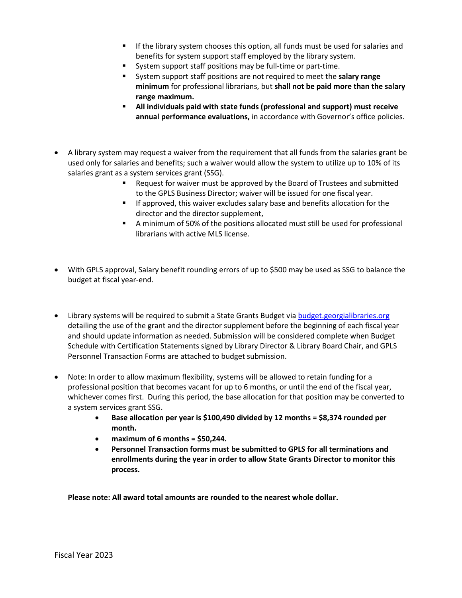- If the library system chooses this option, all funds must be used for salaries and benefits for system support staff employed by the library system.
- System support staff positions may be full-time or part-time.
- System support staff positions are not required to meet the **salary range minimum** for professional librarians, but **shall not be paid more than the salary range maximum.**
- **All individuals paid with state funds (professional and support) must receive annual performance evaluations,** in accordance with Governor's office policies.
- A library system may request a waiver from the requirement that all funds from the salaries grant be used only for salaries and benefits; such a waiver would allow the system to utilize up to 10% of its salaries grant as a system services grant (SSG).
	- Request for waiver must be approved by the Board of Trustees and submitted to the GPLS Business Director; waiver will be issued for one fiscal year.
	- **If approved, this waiver excludes salary base and benefits allocation for the** director and the director supplement,
	- A minimum of 50% of the positions allocated must still be used for professional librarians with active MLS license.
- With GPLS approval, Salary benefit rounding errors of up to \$500 may be used as SSG to balance the budget at fiscal year-end.
- Library systems will be required to submit a State Grants Budget via **budget.georgialibraries.org** detailing the use of the grant and the director supplement before the beginning of each fiscal year and should update information as needed. Submission will be considered complete when Budget Schedule with Certification Statements signed by Library Director & Library Board Chair, and GPLS Personnel Transaction Forms are attached to budget submission.
- Note: In order to allow maximum flexibility, systems will be allowed to retain funding for a professional position that becomes vacant for up to 6 months, or until the end of the fiscal year, whichever comes first. During this period, the base allocation for that position may be converted to a system services grant SSG.
	- **Base allocation per year is \$100,490 divided by 12 months = \$8,374 rounded per month.**
	- **maximum of 6 months = \$50,244.**
	- **Personnel Transaction forms must be submitted to GPLS for all terminations and enrollments during the year in order to allow State Grants Director to monitor this process.**

**Please note: All award total amounts are rounded to the nearest whole dollar.**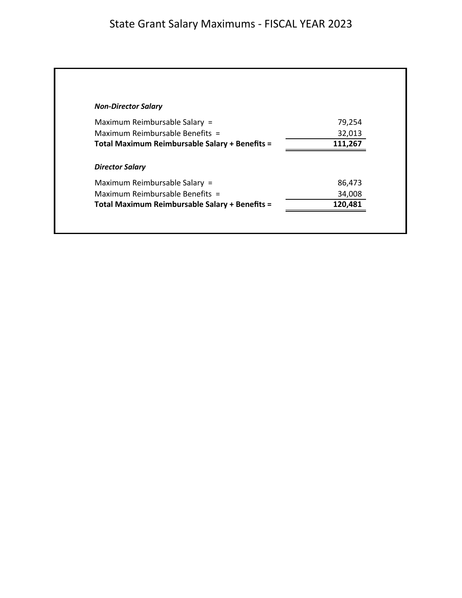| <b>Non-Director Salary</b>                     |         |
|------------------------------------------------|---------|
| Maximum Reimbursable Salary =                  | 79,254  |
| Maximum Reimbursable Benefits =                | 32,013  |
| Total Maximum Reimbursable Salary + Benefits = | 111,267 |
| <b>Director Salary</b>                         |         |
| Maximum Reimbursable Salary =                  | 86,473  |
|                                                | 34,008  |
| Maximum Reimbursable Benefits =                |         |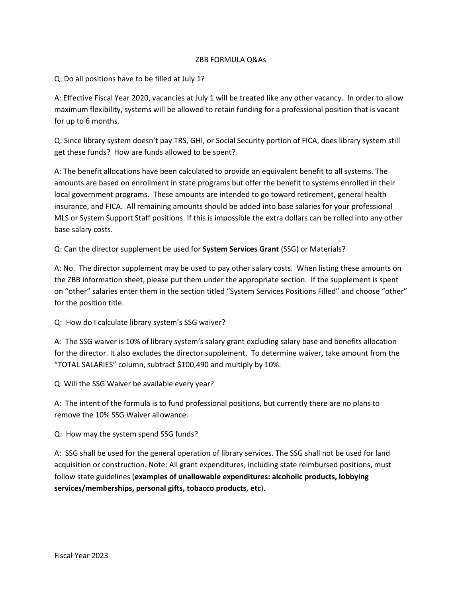#### ZBB FORMULA Q&As

Q: Do all positions have to be filled at July 1?

A: Effective Fiscal Year 2020, vacancies at July 1 will be treated like any other vacancy. In order to allow maximum flexibility, systems will be allowed to retain funding for a professional position that is vacant for up to 6 months.

Q: Since library system doesn't pay TRS, GHI, or Social Security portion of FICA, does library system still get these funds? How are funds allowed to be spent?

A: The benefit allocations have been calculated to provide an equivalent benefit to all systems. The amounts are based on enrollment in state programs but offer the benefit to systems enrolled in their local government programs. These amounts are intended to go toward retirement, general health insurance, and FICA. All remaining amounts should be added into base salaries for your professional MLS or System Support Staff positions. If this is impossible the extra dollars can be rolled into any other base salary costs.

Q: Can the director supplement be used for **System Services Grant** (SSG) or Materials?

A: No. The director supplement may be used to pay other salary costs. When listing these amounts on the ZBB information sheet, please put them under the appropriate section. If the supplement is spent on "other" salaries enter them in the section titled "System Services Positions Filled" and choose "other" for the position title.

Q: How do I calculate library system's SSG waiver?

A: The SSG waiver is 10% of library system's salary grant excluding salary base and benefits allocation for the director. It also excludes the director supplement. To determine waiver, take amount from the "TOTAL SALARIES" column, subtract \$100,490 and multiply by 10%.

Q: Will the SSG Waiver be available every year?

A: The intent of the formula is to fund professional positions, but currently there are no plans to remove the 10% SSG Waiver allowance.

Q: How may the system spend SSG funds?

A: SSG shall be used for the general operation of library services. The SSG shall not be used for land acquisition or construction. Note: All grant expenditures, including state reimbursed positions, must follow state guidelines (**examples of unallowable expenditures: alcoholic products, lobbying services/memberships, personal gifts, tobacco products, etc**).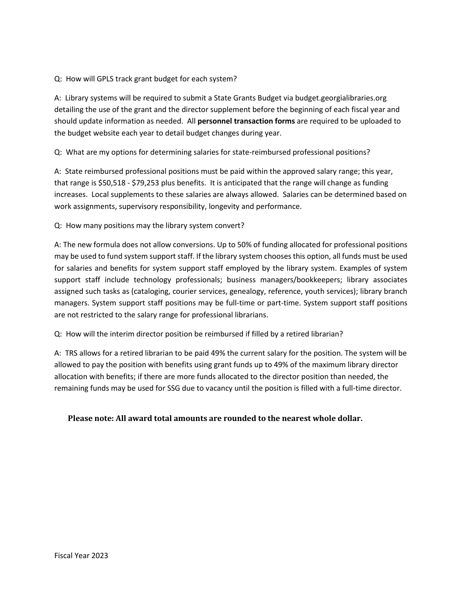#### Q: How will GPLS track grant budget for each system?

A: Library systems will be required to submit a State Grants Budget via budget.georgialibraries.org detailing the use of the grant and the director supplement before the beginning of each fiscal year and should update information as needed. All **personnel transaction forms** are required to be uploaded to the budget website each year to detail budget changes during year.

Q: What are my options for determining salaries for state-reimbursed professional positions?

A: State reimbursed professional positions must be paid within the approved salary range; this year, that range is \$50,518 - \$79,253 plus benefits. It is anticipated that the range will change as funding increases. Local supplements to these salaries are always allowed. Salaries can be determined based on work assignments, supervisory responsibility, longevity and performance.

Q: How many positions may the library system convert?

A: The new formula does not allow conversions. Up to 50% of funding allocated for professional positions may be used to fund system support staff. If the library system chooses this option, all funds must be used for salaries and benefits for system support staff employed by the library system. Examples of system support staff include technology professionals; business managers/bookkeepers; library associates assigned such tasks as (cataloging, courier services, genealogy, reference, youth services); library branch managers. System support staff positions may be full-time or part-time. System support staff positions are not restricted to the salary range for professional librarians.

Q: How will the interim director position be reimbursed if filled by a retired librarian?

A: TRS allows for a retired librarian to be paid 49% the current salary for the position. The system will be allowed to pay the position with benefits using grant funds up to 49% of the maximum library director allocation with benefits; if there are more funds allocated to the director position than needed, the remaining funds may be used for SSG due to vacancy until the position is filled with a full-time director.

#### **Please note: All award total amounts are rounded to the nearest whole dollar.**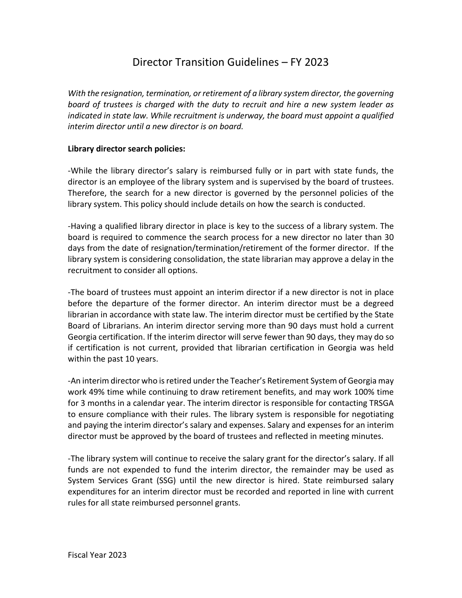# Director Transition Guidelines – FY 2023

*With the resignation, termination, or retirement of a library system director, the governing board of trustees is charged with the duty to recruit and hire a new system leader as indicated in state law. While recruitment is underway, the board must appoint a qualified interim director until a new director is on board.*

#### **Library director search policies:**

-While the library director's salary is reimbursed fully or in part with state funds, the director is an employee of the library system and is supervised by the board of trustees. Therefore, the search for a new director is governed by the personnel policies of the library system. This policy should include details on how the search is conducted.

-Having a qualified library director in place is key to the success of a library system. The board is required to commence the search process for a new director no later than 30 days from the date of resignation/termination/retirement of the former director. If the library system is considering consolidation, the state librarian may approve a delay in the recruitment to consider all options.

-The board of trustees must appoint an interim director if a new director is not in place before the departure of the former director. An interim director must be a degreed librarian in accordance with state law. The interim director must be certified by the State Board of Librarians. An interim director serving more than 90 days must hold a current Georgia certification. If the interim director will serve fewer than 90 days, they may do so if certification is not current, provided that librarian certification in Georgia was held within the past 10 years.

-An interim director who is retired under the Teacher's Retirement System of Georgia may work 49% time while continuing to draw retirement benefits, and may work 100% time for 3 months in a calendar year. The interim director is responsible for contacting TRSGA to ensure compliance with their rules. The library system is responsible for negotiating and paying the interim director's salary and expenses. Salary and expenses for an interim director must be approved by the board of trustees and reflected in meeting minutes.

-The library system will continue to receive the salary grant for the director's salary. If all funds are not expended to fund the interim director, the remainder may be used as System Services Grant (SSG) until the new director is hired. State reimbursed salary expenditures for an interim director must be recorded and reported in line with current rules for all state reimbursed personnel grants.